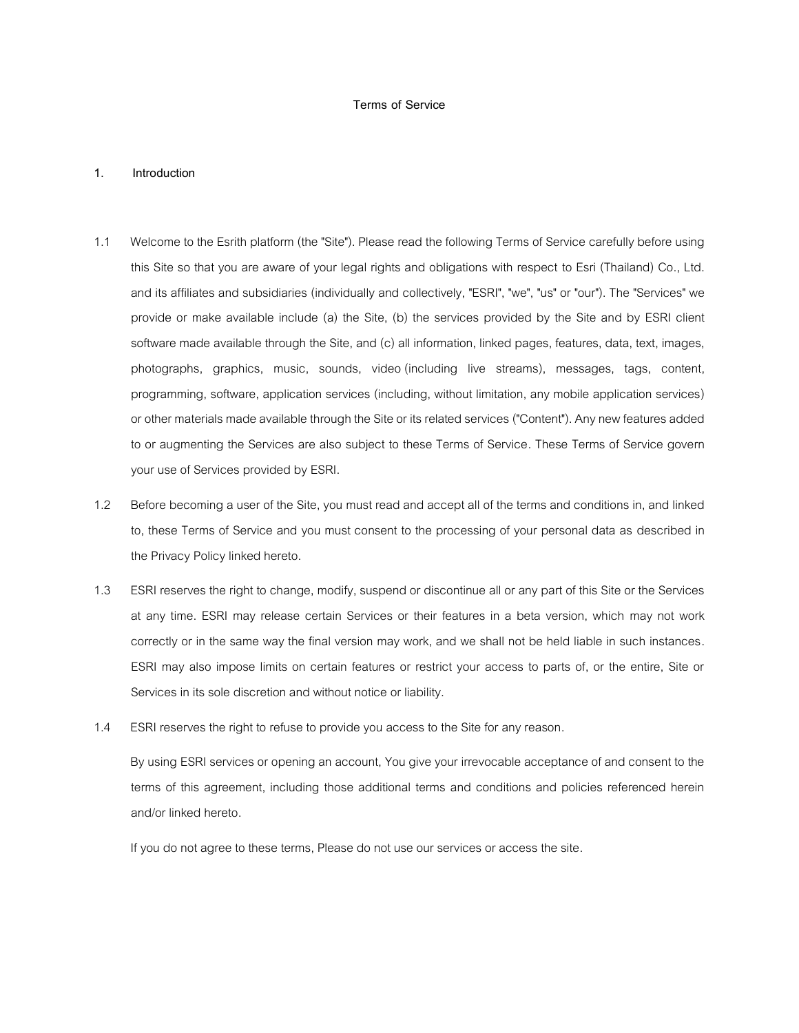#### **Terms of Service**

#### **1. Introduction**

- 1.1 Welcome to the Esrith platform (the "Site"). Please read the following Terms of Service carefully before using this Site so that you are aware of your legal rights and obligations with respect to Esri (Thailand) Co., Ltd. and its affiliates and subsidiaries (individually and collectively, "ESRI", "we", "us" or "our"). The "Services" we provide or make available include (a) the Site, (b) the services provided by the Site and by ESRI client software made available through the Site, and (c) all information, linked pages, features, data, text, images, photographs, graphics, music, sounds, video(including live streams), messages, tags, content, programming, software, application services (including, without limitation, any mobile application services) or other materials made available through the Site or its related services ("Content"). Any new features added to or augmenting the Services are also subject to these Terms of Service. These Terms of Service govern your use of Services provided by ESRI.
- 1.2 Before becoming a user of the Site, you must read and accept all of the terms and conditions in, and linked to, these Terms of Service and you must consent to the processing of your personal data as described in the Privacy Policy linked hereto.
- 1.3 ESRI reserves the right to change, modify, suspend or discontinue all or any part of this Site or the Services at any time. ESRI may release certain Services or their features in a beta version, which may not work correctly or in the same way the final version may work, and we shall not be held liable in such instances. ESRI may also impose limits on certain features or restrict your access to parts of, or the entire, Site or Services in its sole discretion and without notice or liability.
- 1.4 ESRI reserves the right to refuse to provide you access to the Site for any reason.

 By using ESRI services or opening an account, You give your irrevocable acceptance of and consent to the terms of this agreement, including those additional terms and conditions and policies referenced herein and/or linked hereto.

If you do not agree to these terms, Please do not use our services or access the site.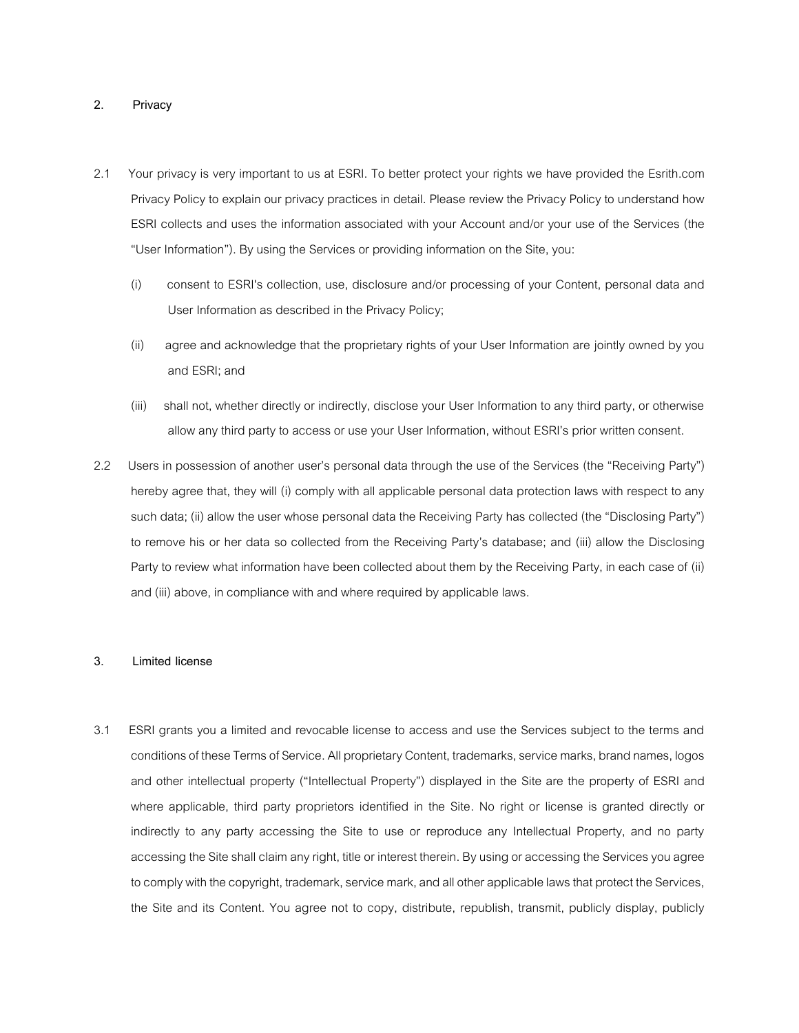# **2. Privacy**

- 2.1 Your privacy is very important to us at ESRI. To better protect your rights we have provided the Esrith.com Privacy Policy to explain our privacy practices in detail. Please review the Privacy Policy to understand how ESRI collects and uses the information associated with your Account and/or your use of the Services (the "User Information"). By using the Services or providing information on the Site, you:
	- (i) consent to ESRI's collection, use, disclosure and/or processing of your Content, personal data and User Information as described in the Privacy Policy;
	- (ii) agree and acknowledge that the proprietary rights of your User Information are jointly owned by you and ESRI; and
	- (iii) shall not, whether directly or indirectly, disclose your User Information to any third party, or otherwise allow any third party to access or use your User Information, without ESRI's prior written consent.
- 2.2 Users in possession of another user's personal data through the use of the Services (the "Receiving Party") hereby agree that, they will (i) comply with all applicable personal data protection laws with respect to any such data; (ii) allow the user whose personal data the Receiving Party has collected (the "Disclosing Party") to remove his or her data so collected from the Receiving Party's database; and (iii) allow the Disclosing Party to review what information have been collected about them by the Receiving Party, in each case of (ii) and (iii) above, in compliance with and where required by applicable laws.

# **3. Limited license**

3.1 ESRI grants you a limited and revocable license to access and use the Services subject to the terms and conditions of these Terms of Service. All proprietary Content, trademarks, service marks, brand names, logos and other intellectual property ("Intellectual Property") displayed in the Site are the property of ESRI and where applicable, third party proprietors identified in the Site. No right or license is granted directly or indirectly to any party accessing the Site to use or reproduce any Intellectual Property, and no party accessing the Site shall claim any right, title or interest therein. By using or accessing the Services you agree to comply with the copyright, trademark, service mark, and all other applicable laws that protect the Services, the Site and its Content. You agree not to copy, distribute, republish, transmit, publicly display, publicly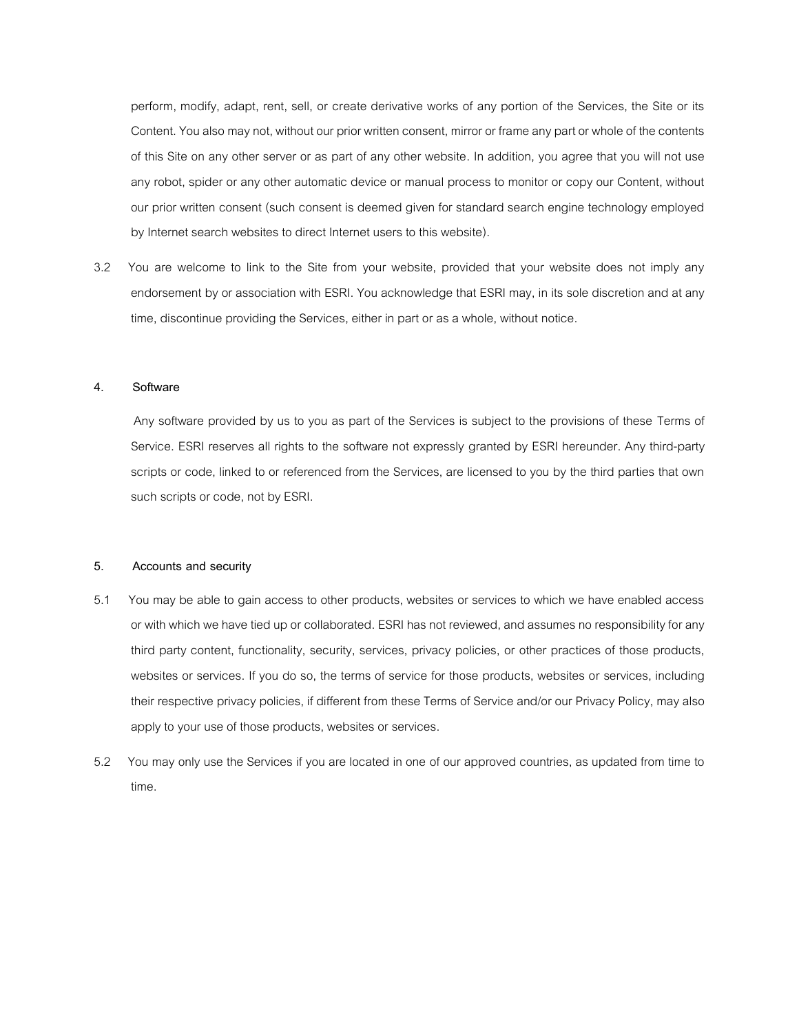perform, modify, adapt, rent, sell, or create derivative works of any portion of the Services, the Site or its Content. You also may not, without our prior written consent, mirror or frame any part or whole of the contents of this Site on any other server or as part of any other website. In addition, you agree that you will not use any robot, spider or any other automatic device or manual process to monitor or copy our Content, without our prior written consent (such consent is deemed given for standard search engine technology employed by Internet search websites to direct Internet users to this website).

3.2 You are welcome to link to the Site from your website, provided that your website does not imply any endorsement by or association with ESRI. You acknowledge that ESRI may, in its sole discretion and at any time, discontinue providing the Services, either in part or as a whole, without notice.

### **4. Software**

 Any software provided by us to you as part of the Services is subject to the provisions of these Terms of Service. ESRI reserves all rights to the software not expressly granted by ESRI hereunder. Any third-party scripts or code, linked to or referenced from the Services, are licensed to you by the third parties that own such scripts or code, not by ESRI.

# **5. Accounts and security**

- 5.1 You may be able to gain access to other products, websites or services to which we have enabled access or with which we have tied up or collaborated. ESRI has not reviewed, and assumes no responsibility for any third party content, functionality, security, services, privacy policies, or other practices of those products, websites or services. If you do so, the terms of service for those products, websites or services, including their respective privacy policies, if different from these Terms of Service and/or our Privacy Policy, may also apply to your use of those products, websites or services.
- 5.2 You may only use the Services if you are located in one of our approved countries, as updated from time to time.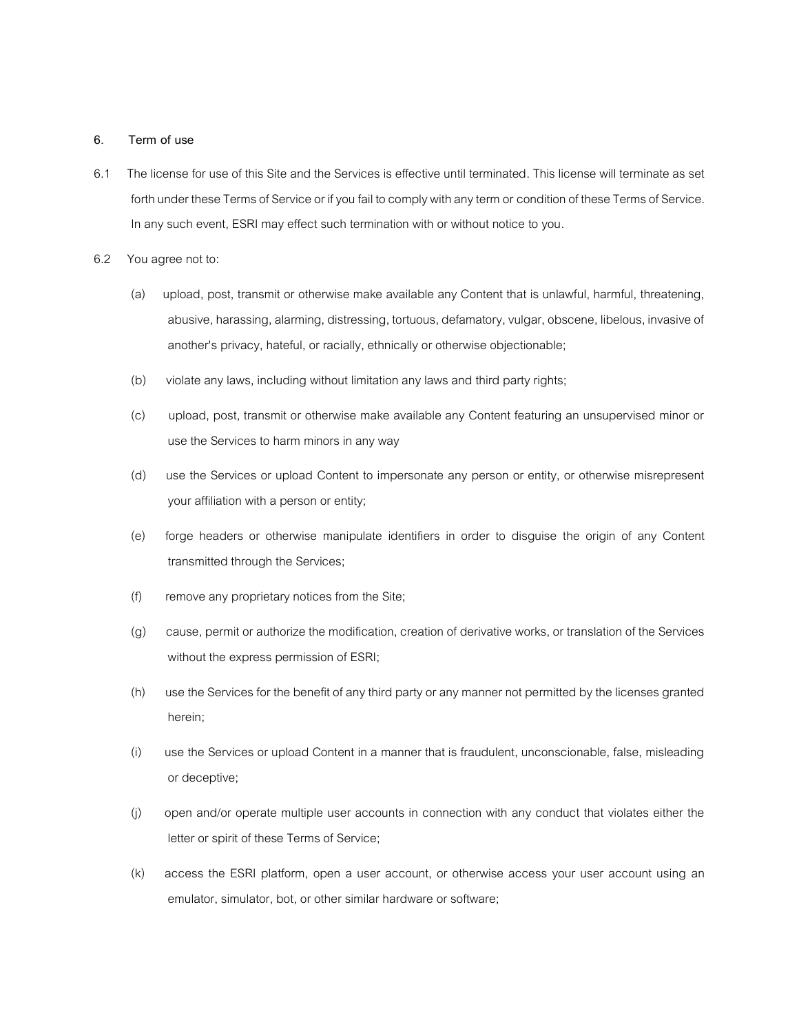# **6. Term of use**

- 6.1 The license for use of this Site and the Services is effective until terminated. This license will terminate as set forth under these Terms of Service or if you fail to comply with any term or condition of these Terms of Service. In any such event, ESRI may effect such termination with or without notice to you.
- 6.2 You agree not to:
	- (a) upload, post, transmit or otherwise make available any Content that is unlawful, harmful, threatening, abusive, harassing, alarming, distressing, tortuous, defamatory, vulgar, obscene, libelous, invasive of another's privacy, hateful, or racially, ethnically or otherwise objectionable;
	- (b) violate any laws, including without limitation any laws and third party rights;
	- (c) upload, post, transmit or otherwise make available any Content featuring an unsupervised minor or use the Services to harm minors in any way
	- (d) use the Services or upload Content to impersonate any person or entity, or otherwise misrepresent your affiliation with a person or entity;
	- (e) forge headers or otherwise manipulate identifiers in order to disguise the origin of any Content transmitted through the Services;
	- (f) remove any proprietary notices from the Site;
	- (g) cause, permit or authorize the modification, creation of derivative works, or translation of the Services without the express permission of ESRI;
	- (h) use the Services for the benefit of any third party or any manner not permitted by the licenses granted herein;
	- (i) use the Services or upload Content in a manner that is fraudulent, unconscionable, false, misleading or deceptive;
	- (j) open and/or operate multiple user accounts in connection with any conduct that violates either the letter or spirit of these Terms of Service;
	- (k) access the ESRI platform, open a user account, or otherwise access your user account using an emulator, simulator, bot, or other similar hardware or software;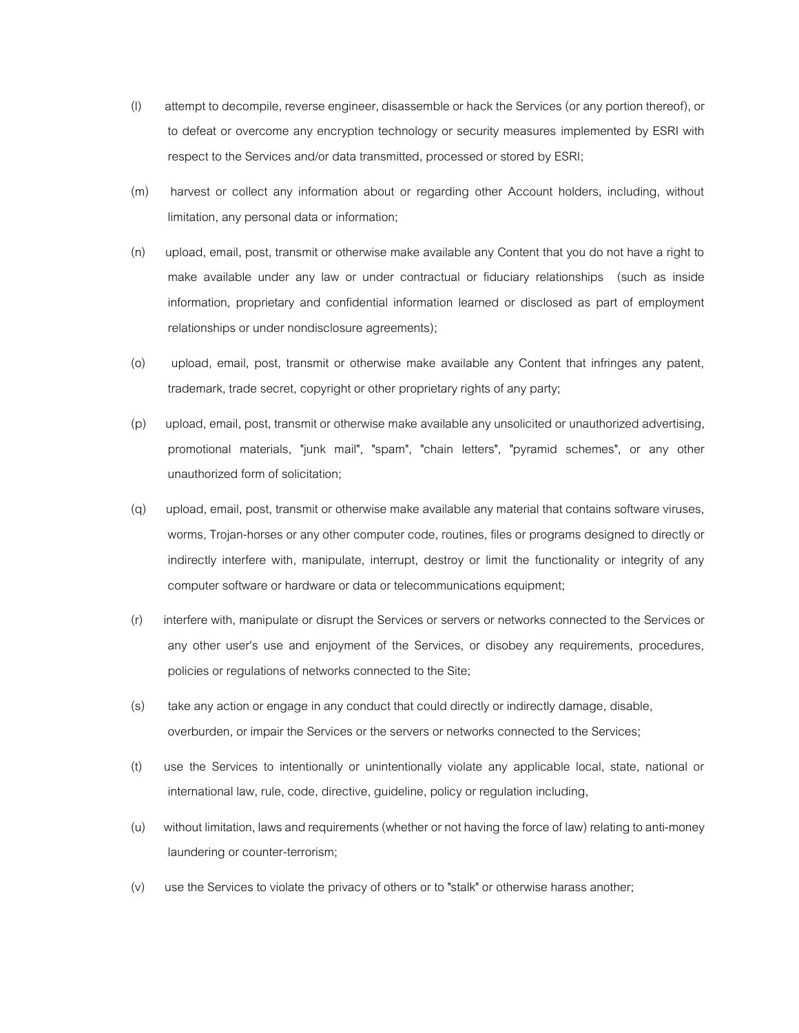- (l) attempt to decompile, reverse engineer, disassemble or hack the Services (or any portion thereof), or to defeat or overcome any encryption technology or security measures implemented by ESRI with respect to the Services and/or data transmitted, processed or stored by ESRI;
- (m) harvest or collect any information about or regarding other Account holders, including, without limitation, any personal data or information;
- (n) upload, email, post, transmit or otherwise make available any Content that you do not have a right to make available under any law or under contractual or fiduciary relationships (such as inside information, proprietary and confidential information learned or disclosed as part of employment relationships or under nondisclosure agreements);
- (o) upload, email, post, transmit or otherwise make available any Content that infringes any patent, trademark, trade secret, copyright or other proprietary rights of any party;
- (p) upload, email, post, transmit or otherwise make available any unsolicited or unauthorized advertising, promotional materials, "junk mail", "spam", "chain letters", "pyramid schemes", or any other unauthorized form of solicitation;
- (q) upload, email, post, transmit or otherwise make available any material that contains software viruses, worms, Trojan-horses or any other computer code, routines, files or programs designed to directly or indirectly interfere with, manipulate, interrupt, destroy or limit the functionality or integrity of any computer software or hardware or data or telecommunications equipment;
- (r) interfere with, manipulate or disrupt the Services or servers or networks connected to the Services or any other user's use and enjoyment of the Services, or disobey any requirements, procedures, policies or regulations of networks connected to the Site;
- (s) take any action or engage in any conduct that could directly or indirectly damage, disable, overburden, or impair the Services or the servers or networks connected to the Services;
- (t) use the Services to intentionally or unintentionally violate any applicable local, state, national or international law, rule, code, directive, guideline, policy or regulation including,
- (u) without limitation, laws and requirements (whether or not having the force of law) relating to anti-money laundering or counter-terrorism;
- (v) use the Services to violate the privacy of others or to "stalk" or otherwise harass another;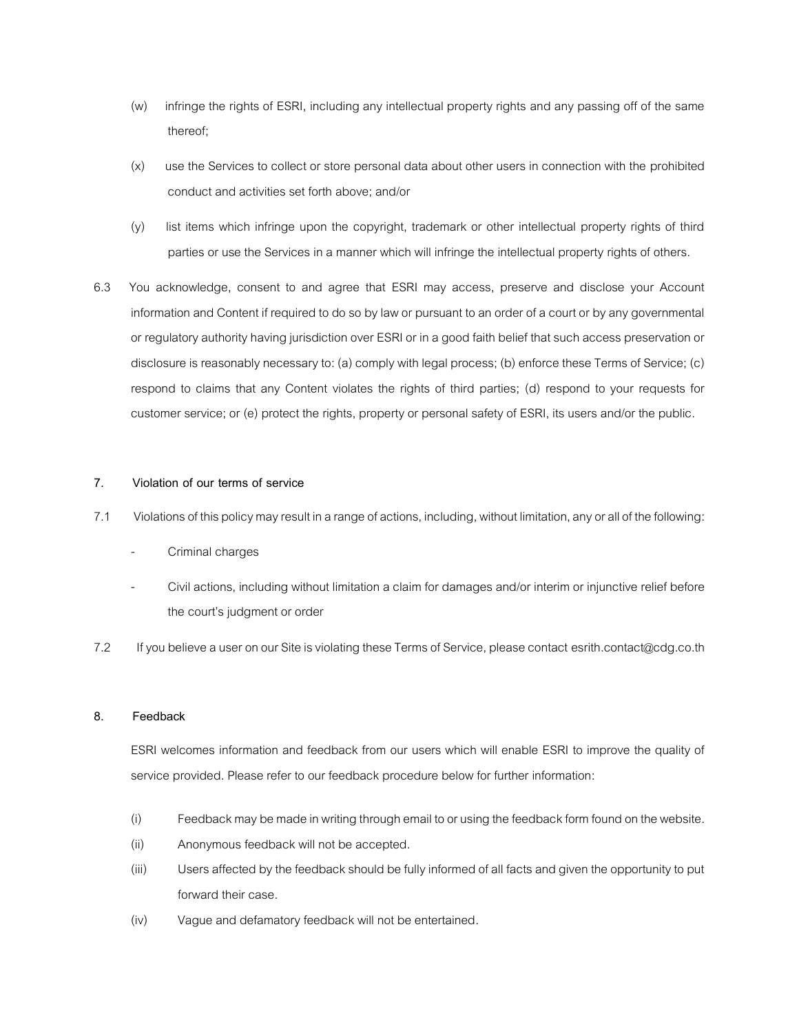- (w) infringe the rights of ESRI, including any intellectual property rights and any passing off of the same thereof;
- (x) use the Services to collect or store personal data about other users in connection with the prohibited conduct and activities set forth above; and/or
- (y) list items which infringe upon the copyright, trademark or other intellectual property rights of third parties or use the Services in a manner which will infringe the intellectual property rights of others.
- 6.3 You acknowledge, consent to and agree that ESRI may access, preserve and disclose your Account information and Content if required to do so by law or pursuant to an order of a court or by any governmental or regulatory authority having jurisdiction over ESRI or in a good faith belief that such access preservation or disclosure is reasonably necessary to: (a) comply with legal process; (b) enforce these Terms of Service; (c) respond to claims that any Content violates the rights of third parties; (d) respond to your requests for customer service; or (e) protect the rights, property or personal safety of ESRI, its users and/or the public.

# **7. Violation of our terms of service**

- 7.1 Violations of this policy may result in a range of actions, including, without limitation, any or all of the following:
	- Criminal charges
	- Civil actions, including without limitation a claim for damages and/or interim or injunctive relief before the court's judgment or order
- 7.2 If you believe a user on our Site is violating these Terms of Service, please contact esrith.contact@cdg.co.th

#### **8. Feedback**

ESRI welcomes information and feedback from our users which will enable ESRI to improve the quality of service provided. Please refer to our feedback procedure below for further information:

- (i) Feedback may be made in writing through email to or using the feedback form found on the website.
- (ii) Anonymous feedback will not be accepted.
- (iii) Users affected by the feedback should be fully informed of all facts and given the opportunity to put forward their case.
- (iv) Vague and defamatory feedback will not be entertained.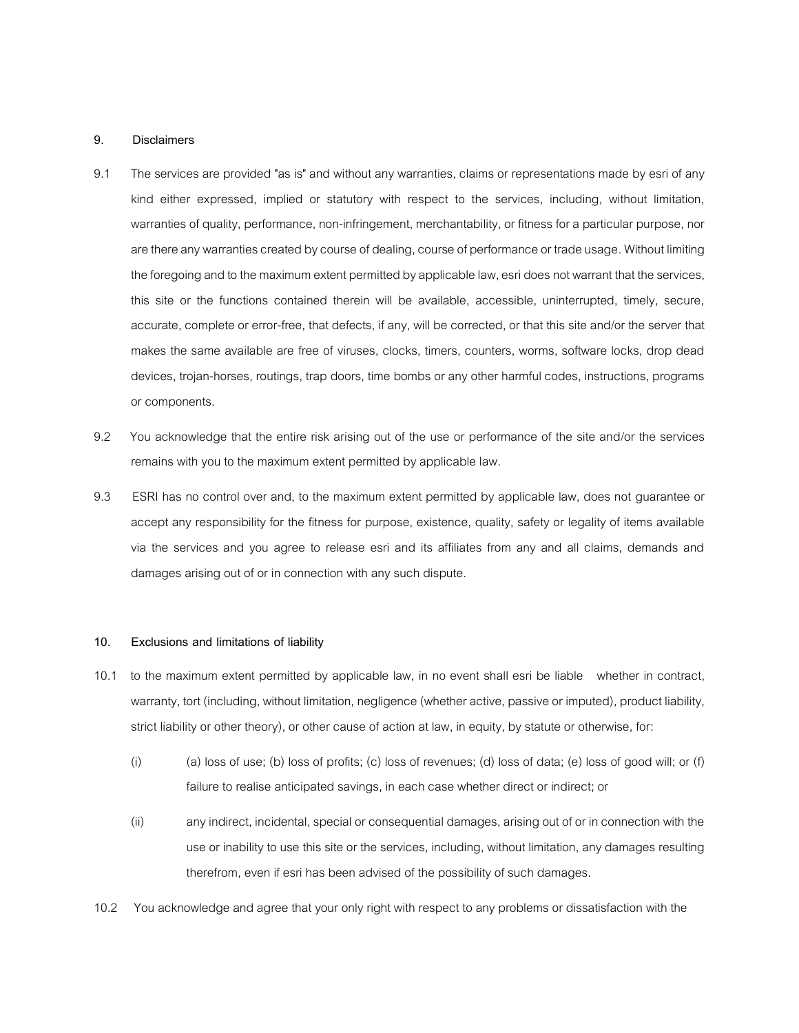### **9. Disclaimers**

- 9.1 The services are provided "as is" and without any warranties, claims or representations made by esri of any kind either expressed, implied or statutory with respect to the services, including, without limitation, warranties of quality, performance, non-infringement, merchantability, or fitness for a particular purpose, nor are there any warranties created by course of dealing, course of performance or trade usage. Without limiting the foregoing and to the maximum extent permitted by applicable law, esri does not warrant that the services, this site or the functions contained therein will be available, accessible, uninterrupted, timely, secure, accurate, complete or error-free, that defects, if any, will be corrected, or that this site and/or the server that makes the same available are free of viruses, clocks, timers, counters, worms, software locks, drop dead devices, trojan-horses, routings, trap doors, time bombs or any other harmful codes, instructions, programs or components.
- 9.2 You acknowledge that the entire risk arising out of the use or performance of the site and/or the services remains with you to the maximum extent permitted by applicable law.
- 9.3 ESRI has no control over and, to the maximum extent permitted by applicable law, does not guarantee or accept any responsibility for the fitness for purpose, existence, quality, safety or legality of items available via the services and you agree to release esri and its affiliates from any and all claims, demands and damages arising out of or in connection with any such dispute.

#### **10. Exclusions and limitations of liability**

- 10.1 to the maximum extent permitted by applicable law, in no event shall esri be liable whether in contract, warranty, tort (including, without limitation, negligence (whether active, passive or imputed), product liability, strict liability or other theory), or other cause of action at law, in equity, by statute or otherwise, for:
	- (i) (a) loss of use; (b) loss of profits; (c) loss of revenues; (d) loss of data; (e) loss of good will; or (f) failure to realise anticipated savings, in each case whether direct or indirect; or
	- (ii) any indirect, incidental, special or consequential damages, arising out of or in connection with the use or inability to use this site or the services, including, without limitation, any damages resulting therefrom, even if esri has been advised of the possibility of such damages.
- 10.2 You acknowledge and agree that your only right with respect to any problems or dissatisfaction with the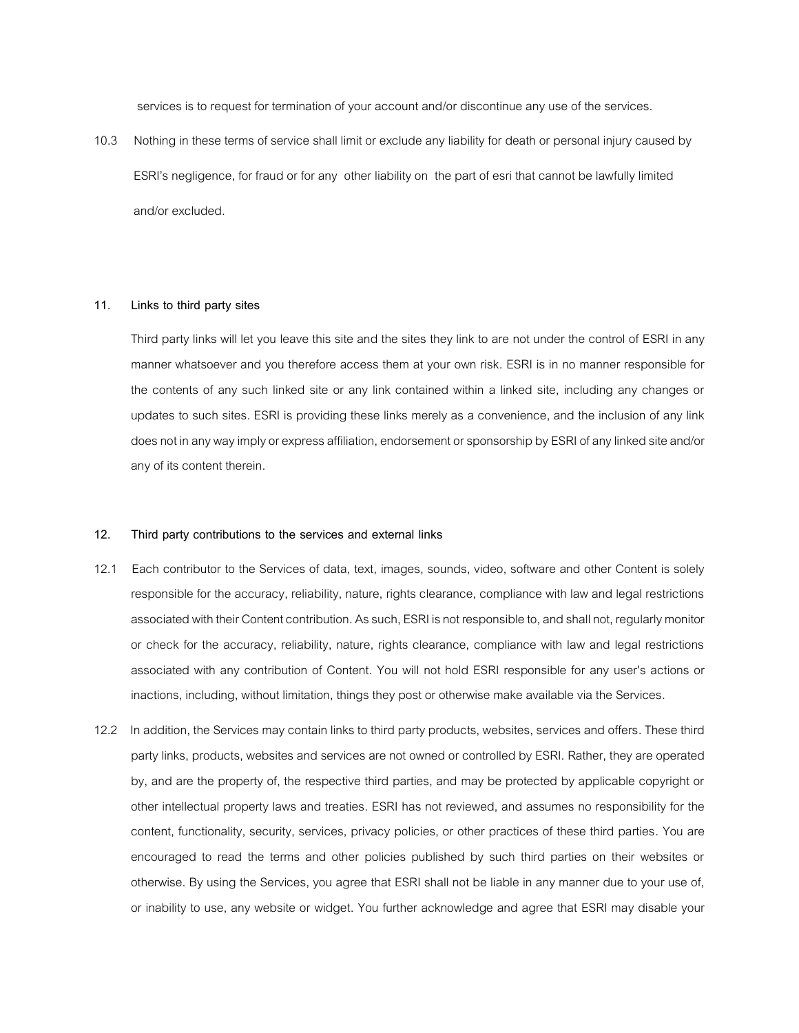services is to request for termination of your account and/or discontinue any use of the services.

10.3 Nothing in these terms of service shall limit or exclude any liability for death or personal injury caused by ESRI's negligence, for fraud or for any other liability on the part of esri that cannot be lawfully limited and/or excluded.

#### **11. Links to third party sites**

Third party links will let you leave this site and the sites they link to are not under the control of ESRI in any manner whatsoever and you therefore access them at your own risk. ESRI is in no manner responsible for the contents of any such linked site or any link contained within a linked site, including any changes or updates to such sites. ESRI is providing these links merely as a convenience, and the inclusion of any link does not in any way imply or express affiliation, endorsement or sponsorship by ESRIof any linked site and/or any of its content therein.

#### **12. Third party contributions to the services and external links**

- 12.1 Each contributor to the Services of data, text, images, sounds, video, software and other Content is solely responsible for the accuracy, reliability, nature, rights clearance, compliance with law and legal restrictions associated with their Content contribution. As such, ESRI is not responsible to, and shall not, regularly monitor or check for the accuracy, reliability, nature, rights clearance, compliance with law and legal restrictions associated with any contribution of Content. You will not hold ESRI responsible for any user's actions or inactions, including, without limitation, things they post or otherwise make available via the Services.
- 12.2 In addition, the Services may contain links to third party products, websites, services and offers. These third party links, products, websites and services are not owned or controlled by ESRI. Rather, they are operated by, and are the property of, the respective third parties, and may be protected by applicable copyright or other intellectual property laws and treaties. ESRI has not reviewed, and assumes no responsibility for the content, functionality, security, services, privacy policies, or other practices of these third parties. You are encouraged to read the terms and other policies published by such third parties on their websites or otherwise. By using the Services, you agree that ESRI shall not be liable in any manner due to your use of, or inability to use, any website or widget. You further acknowledge and agree that ESRI may disable your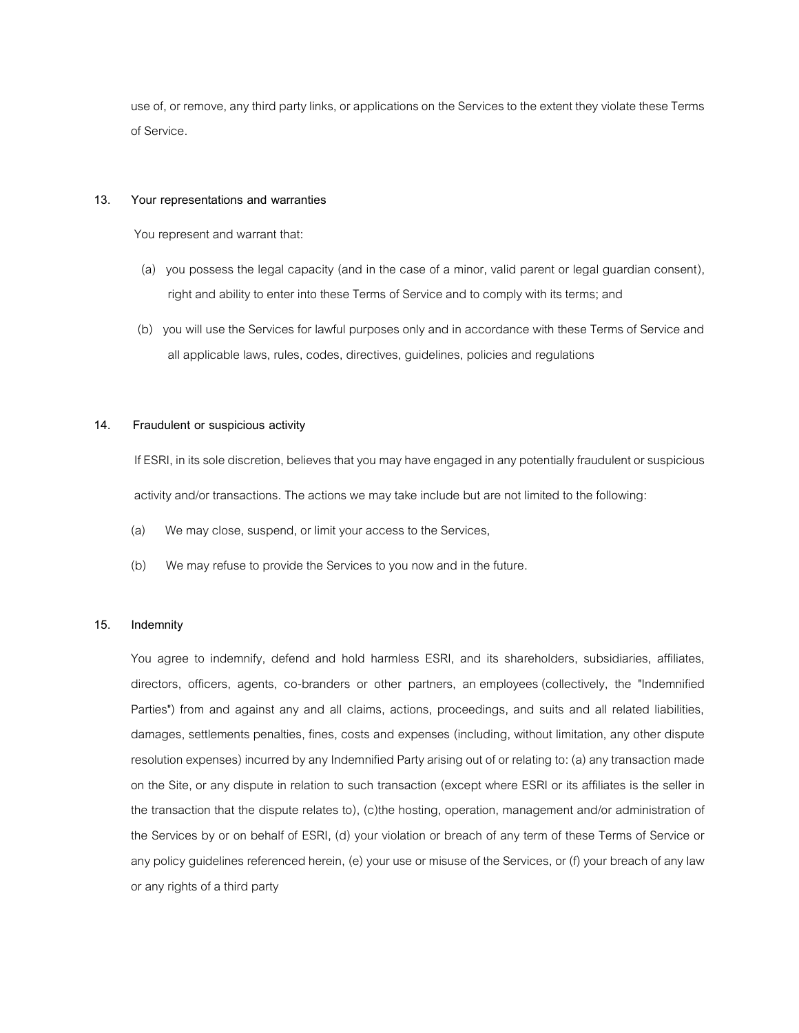use of, or remove, any third party links, or applications on the Services to the extent they violate these Terms of Service.

### **13. Your representations and warranties**

You represent and warrant that:

- (a) you possess the legal capacity (and in the case of a minor, valid parent or legal guardian consent), right and ability to enter into these Terms of Service and to comply with its terms; and
- (b) you will use the Services for lawful purposes only and in accordance with these Terms of Service and all applicable laws, rules, codes, directives, guidelines, policies and regulations

# **14. Fraudulent or suspicious activity**

If ESRI, in its sole discretion, believes that you may have engaged in any potentially fraudulent or suspicious activity and/or transactions. The actions we may take include but are not limited to the following:

- (a) We may close, suspend, or limit your access to the Services,
- (b) We may refuse to provide the Services to you now and in the future.

# **15. Indemnity**

You agree to indemnify, defend and hold harmless ESRI, and its shareholders, subsidiaries, affiliates, directors, officers, agents, co-branders or other partners, an employees (collectively, the "Indemnified Parties") from and against any and all claims, actions, proceedings, and suits and all related liabilities, damages, settlements penalties, fines, costs and expenses (including, without limitation, any other dispute resolution expenses) incurred by any Indemnified Party arising out of or relating to: (a) any transaction made on the Site, or any dispute in relation to such transaction (except where ESRI or its affiliates is the seller in the transaction that the dispute relates to), (c)the hosting, operation, management and/or administration of the Services by or on behalf of ESRI, (d) your violation or breach of any term of these Terms of Service or any policy guidelines referenced herein, (e) your use or misuse of the Services, or (f) your breach of any law or any rights of a third party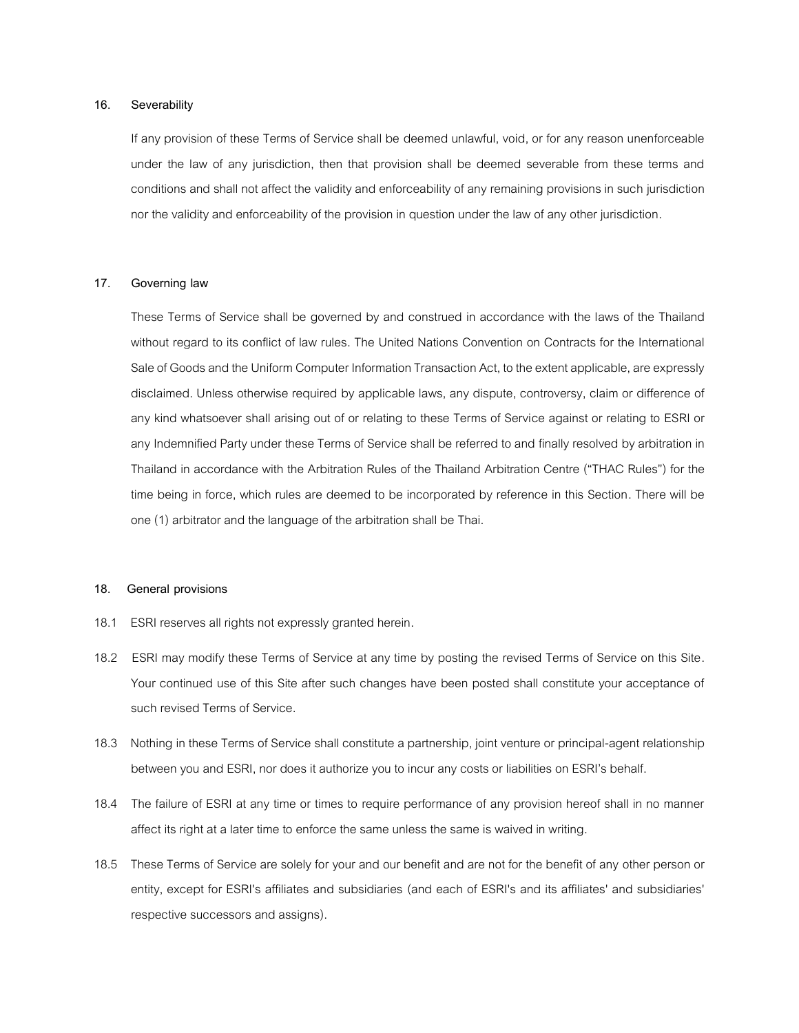#### **16. Severability**

If any provision of these Terms of Service shall be deemed unlawful, void, or for any reason unenforceable under the law of any jurisdiction, then that provision shall be deemed severable from these terms and conditions and shall not affect the validity and enforceability of any remaining provisions in such jurisdiction nor the validity and enforceability of the provision in question under the law of any other jurisdiction.

#### **17. Governing law**

These Terms of Service shall be governed by and construed in accordance with the laws of the Thailand without regard to its conflict of law rules. The United Nations Convention on Contracts for the International Sale of Goods and the Uniform Computer Information Transaction Act, to the extent applicable, are expressly disclaimed. Unless otherwise required by applicable laws, any dispute, controversy, claim or difference of any kind whatsoever shall arising out of or relating to these Terms of Service against or relating to ESRI or any Indemnified Party under these Terms of Service shall be referred to and finally resolved by arbitration in Thailand in accordance with the Arbitration Rules of the Thailand Arbitration Centre ("THAC Rules") for the time being in force, which rules are deemed to be incorporated by reference in this Section. There will be one (1) arbitrator and the language of the arbitration shall be Thai.

### **18. General provisions**

- 18.1 ESRI reserves all rights not expressly granted herein.
- 18.2 ESRI may modify these Terms of Service at any time by posting the revised Terms of Service on this Site. Your continued use of this Site after such changes have been posted shall constitute your acceptance of such revised Terms of Service.
- 18.3 Nothing in these Terms of Service shall constitute a partnership, joint venture or principal-agent relationship between you and ESRI, nor does it authorize you to incur any costs or liabilities on ESRI's behalf.
- 18.4 The failure of ESRI at any time or times to require performance of any provision hereof shall in no manner affect its right at a later time to enforce the same unless the same is waived in writing.
- 18.5 These Terms of Service are solely for your and our benefit and are not for the benefit of any other person or entity, except for ESRI's affiliates and subsidiaries (and each of ESRI's and its affiliates' and subsidiaries' respective successors and assigns).